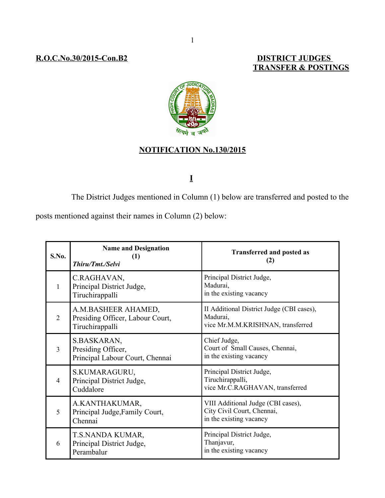### **R.O.C.No.30/2015-Con.B2**

# **TRANSFER & POSTINGS**



## **NOTIFICATION No.130/2015**

# **I**

The District Judges mentioned in Column (1) below are transferred and posted to the

posts mentioned against their names in Column (2) below:

| S.No.          | <b>Name and Designation</b><br>(1)<br><b>Thiru/Tmt./Selvi</b>              | <b>Transferred and posted as</b><br>(2)                                                     |
|----------------|----------------------------------------------------------------------------|---------------------------------------------------------------------------------------------|
| 1              | C.RAGHAVAN,<br>Principal District Judge,<br>Tiruchirappalli                | Principal District Judge,<br>Madurai,<br>in the existing vacancy                            |
| $\overline{2}$ | A.M.BASHEER AHAMED,<br>Presiding Officer, Labour Court,<br>Tiruchirappalli | II Additional District Judge (CBI cases),<br>Madurai,<br>vice Mr.M.M.KRISHNAN, transferred  |
| $\overline{3}$ | S.BASKARAN,<br>Presiding Officer,<br>Principal Labour Court, Chennai       | Chief Judge,<br>Court of Small Causes, Chennai,<br>in the existing vacancy                  |
| $\overline{4}$ | S.KUMARAGURU,<br>Principal District Judge,<br>Cuddalore                    | Principal District Judge,<br>Tiruchirappalli,<br>vice Mr.C.RAGHAVAN, transferred            |
| 5              | A.KANTHAKUMAR,<br>Principal Judge, Family Court,<br>Chennai                | VIII Additional Judge (CBI cases),<br>City Civil Court, Chennai,<br>in the existing vacancy |
| 6              | T.S.NANDA KUMAR,<br>Principal District Judge,<br>Perambalur                | Principal District Judge,<br>Thanjavur,<br>in the existing vacancy                          |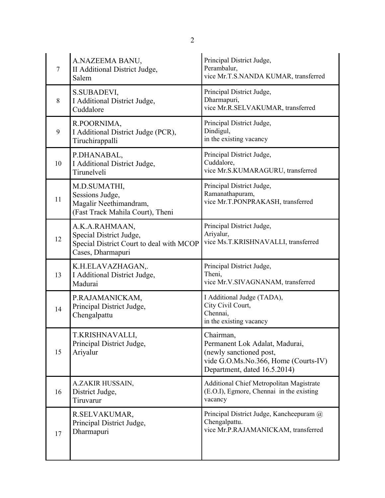| $\tau$ | A.NAZEEMA BANU,<br>II Additional District Judge,<br>Salem                                                  | Principal District Judge,<br>Perambalur,<br>vice Mr.T.S.NANDA KUMAR, transferred                                                               |
|--------|------------------------------------------------------------------------------------------------------------|------------------------------------------------------------------------------------------------------------------------------------------------|
| 8      | S.SUBADEVI,<br>I Additional District Judge,<br>Cuddalore                                                   | Principal District Judge,<br>Dharmapuri,<br>vice Mr.R.SELVAKUMAR, transferred                                                                  |
| 9      | R.POORNIMA,<br>I Additional District Judge (PCR),<br>Tiruchirappalli                                       | Principal District Judge,<br>Dindigul,<br>in the existing vacancy                                                                              |
| 10     | P.DHANABAL,<br>I Additional District Judge,<br>Tirunelveli                                                 | Principal District Judge,<br>Cuddalore,<br>vice Mr.S.KUMARAGURU, transferred                                                                   |
| 11     | M.D.SUMATHI,<br>Sessions Judge,<br>Magalir Neethimandram,<br>(Fast Track Mahila Court), Theni              | Principal District Judge,<br>Ramanathapuram,<br>vice Mr.T.PONPRAKASH, transferred                                                              |
| 12     | A.K.A.RAHMAAN,<br>Special District Judge,<br>Special District Court to deal with MCOP<br>Cases, Dharmapuri | Principal District Judge,<br>Ariyalur,<br>vice Ms.T.KRISHNAVALLI, transferred                                                                  |
| 13     | K.H.ELAVAZHAGAN,.<br>I Additional District Judge,<br>Madurai                                               | Principal District Judge,<br>Theni,<br>vice Mr.V.SIVAGNANAM, transferred                                                                       |
| 14     | P.RAJAMANICKAM,<br>Principal District Judge,<br>Chengalpattu                                               | I Additional Judge (TADA),<br>City Civil Court,<br>Chennai,<br>in the existing vacancy                                                         |
| 15     | T.KRISHNAVALLI,<br>Principal District Judge,<br>Ariyalur                                                   | Chairman,<br>Permanent Lok Adalat, Madurai,<br>(newly sanctioned post,<br>vide G.O.Ms.No.366, Home (Courts-IV)<br>Department, dated 16.5.2014) |
| 16     | A.ZAKIR HUSSAIN,<br>District Judge,<br>Tiruvarur                                                           | <b>Additional Chief Metropolitan Magistrate</b><br>(E.O.I), Egmore, Chennai in the existing<br>vacancy                                         |
| 17     | R.SELVAKUMAR,<br>Principal District Judge,<br>Dharmapuri                                                   | Principal District Judge, Kancheepuram @<br>Chengalpattu.<br>vice Mr.P.RAJAMANICKAM, transferred                                               |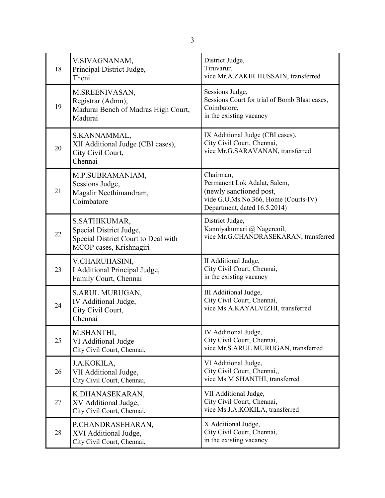| 18 | V.SIVAGNANAM,<br>Principal District Judge,<br>Theni                                                        | District Judge,<br>Tiruvarur,<br>vice Mr.A.ZAKIR HUSSAIN, transferred                                                                        |
|----|------------------------------------------------------------------------------------------------------------|----------------------------------------------------------------------------------------------------------------------------------------------|
| 19 | M.SREENIVASAN,<br>Registrar (Admn),<br>Madurai Bench of Madras High Court,<br>Madurai                      | Sessions Judge,<br>Sessions Court for trial of Bomb Blast cases,<br>Coimbatore,<br>in the existing vacancy                                   |
| 20 | S.KANNAMMAL,<br>XII Additional Judge (CBI cases),<br>City Civil Court,<br>Chennai                          | IX Additional Judge (CBI cases),<br>City Civil Court, Chennai,<br>vice Mr.G.SARAVANAN, transferred                                           |
| 21 | M.P.SUBRAMANIAM,<br>Sessions Judge,<br>Magalir Neethimandram,<br>Coimbatore                                | Chairman,<br>Permanent Lok Adalat, Salem,<br>(newly sanctioned post,<br>vide G.O.Ms.No.366, Home (Courts-IV)<br>Department, dated 16.5.2014) |
| 22 | S.SATHIKUMAR,<br>Special District Judge,<br>Special District Court to Deal with<br>MCOP cases, Krishnagiri | District Judge,<br>Kanniyakumari @ Nagercoil,<br>vice Mr.G.CHANDRASEKARAN, transferred                                                       |
| 23 | V.CHARUHASINI,<br>I Additional Principal Judge,<br>Family Court, Chennai                                   | II Additional Judge,<br>City Civil Court, Chennai,<br>in the existing vacancy                                                                |
| 24 | S.ARUL MURUGAN,<br>IV Additional Judge,<br>City Civil Court,<br>Chennai                                    | III Additional Judge,<br>City Civil Court, Chennai,<br>vice Ms.A.KAYALVIZHI, transferred                                                     |
| 25 | M.SHANTHI,<br>VI Additional Judge<br>City Civil Court, Chennai,                                            | <b>IV</b> Additional Judge<br>City Civil Court, Chennai,<br>vice Mr.S.ARUL MURUGAN, transferred                                              |
| 26 | J.A.KOKILA,<br>VII Additional Judge,<br>City Civil Court, Chennai,                                         | VI Additional Judge,<br>City Civil Court, Chennai,,<br>vice Ms.M.SHANTHI, transferred                                                        |
| 27 | K.DHANASEKARAN,<br>XV Additional Judge,<br>City Civil Court, Chennai,                                      | VII Additional Judge,<br>City Civil Court, Chennai,<br>vice Ms.J.A.KOKILA, transferred                                                       |
| 28 | P.CHANDRASEHARAN,<br>XVI Additional Judge,<br>City Civil Court, Chennai,                                   | X Additional Judge,<br>City Civil Court, Chennai,<br>in the existing vacancy                                                                 |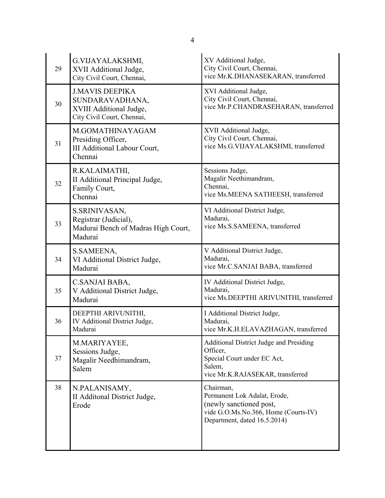| 29 | G.VIJAYALAKSHMI,<br>XVII Additional Judge,<br>City Civil Court, Chennai,                           | XV Additional Judge,<br>City Civil Court, Chennai,<br>vice Mr.K.DHANASEKARAN, transferred                                                    |
|----|----------------------------------------------------------------------------------------------------|----------------------------------------------------------------------------------------------------------------------------------------------|
| 30 | <b>J.MAVIS DEEPIKA</b><br>SUNDARAVADHANA,<br>XVIII Additional Judge,<br>City Civil Court, Chennai, | XVI Additional Judge,<br>City Civil Court, Chennai,<br>vice Mr.P.CHANDRASEHARAN, transferred                                                 |
| 31 | M.GOMATHINAYAGAM<br>Presiding Officer,<br>III Additional Labour Court,<br>Chennai                  | XVII Additional Judge,<br>City Civil Court, Chennai,<br>vice Ms.G.VIJAYALAKSHMI, transferred                                                 |
| 32 | R.KALAIMATHI,<br>II Additional Principal Judge,<br>Family Court,<br>Chennai                        | Sessions Judge,<br>Magalir Neethimandram,<br>Chennai,<br>vice Ms.MEENA SATHEESH, transferred                                                 |
| 33 | S.SRINIVASAN,<br>Registrar (Judicial),<br>Madurai Bench of Madras High Court,<br>Madurai           | VI Additional District Judge,<br>Madurai,<br>vice Ms.S.SAMEENA, transferred                                                                  |
| 34 | S.SAMEENA,<br>VI Additional District Judge,<br>Madurai                                             | V Additional District Judge,<br>Madurai,<br>vice Mr.C.SANJAI BABA, transferred                                                               |
| 35 | C.SANJAI BABA,<br>V Additional District Judge,<br>Madurai                                          | IV Additional District Judge,<br>Madurai,<br>vice Ms.DEEPTHI ARIVUNITHI, transferred                                                         |
| 36 | DEEPTHI ARIVUNITHI,<br>IV Additional District Judge,<br>Madurai                                    | I Additional District Judge,<br>Madurai,<br>vice Mr.K.H.ELAVAZHAGAN, transferred                                                             |
| 37 | M.MARIYAYEE,<br>Sessions Judge,<br>Magalir Needhimandram,<br>Salem                                 | Additional District Judge and Presiding<br>Officer,<br>Special Court under EC Act,<br>Salem,<br>vice Mr.K.RAJASEKAR, transferred             |
| 38 | N.PALANISAMY,<br>II Additonal District Judge,<br>Erode                                             | Chairman,<br>Permanent Lok Adalat, Erode,<br>(newly sanctioned post,<br>vide G.O.Ms.No.366, Home (Courts-IV)<br>Department, dated 16.5.2014) |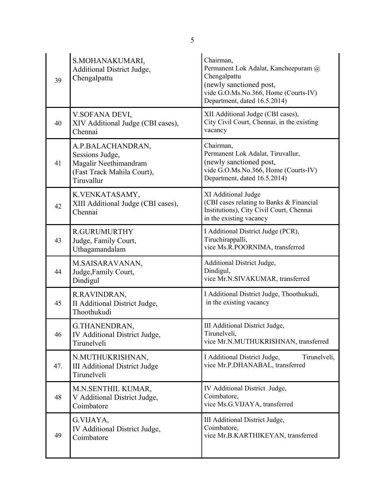| 39  | S.MOHANAKUMARI,<br>Additional District Judge,<br>Chengalpattu                                             | Chairman,<br>Permanent Lok Adalat, Kancheepuram @<br>Chengalpattu<br>(newly sanctioned post,<br>vide G.O.Ms.No.366, Home (Courts-IV)<br>Department, dated 16.5.2014) |
|-----|-----------------------------------------------------------------------------------------------------------|----------------------------------------------------------------------------------------------------------------------------------------------------------------------|
| 40  | V.SOFANA DEVI,<br>XIV Additional Judge (CBI cases),<br>Chennai                                            | XII Additional Judge (CBI cases),<br>City Civil Court, Chennai, in the existing<br>vacancy                                                                           |
| 41  | A.P.BALACHANDRAN,<br>Sessions Judge,<br>Magalir Neethimandram<br>(Fast Track Mahila Court),<br>Tiruvallur | Chairman,<br>Permanent Lok Adalat, Tiruvallur,<br>(newly sanctioned post,<br>vide G.O.Ms.No.366, Home (Courts-IV)<br>Department, dated 16.5.2014)                    |
| 42  | K.VENKATASAMY,<br>XIII Additional Judge (CBI cases),<br>Chennai                                           | XI Additional Judge<br>(CBI cases relating to Banks & Financial<br>Institutions), City Civil Court, Chennai<br>in the existing vacancy                               |
| 43  | <b>R.GURUMURTHY</b><br>Judge, Family Court,<br>Uthagamandalam                                             | I Additional District Judge (PCR),<br>Tiruchirappalli,<br>vice Ms.R.POORNIMA, transferred                                                                            |
| 44  | M.SAISARAVANAN,<br>Judge, Family Court,<br>Dindigul                                                       | Additional District Judge,<br>Dindigul,<br>vice Mr.N.SIVAKUMAR, transferred                                                                                          |
| 45  | R.RAVINDRAN,<br>II Additional District Judge,<br>Thoothukudi                                              | I Additional District Judge, Thoothukudi,<br>in the existing vacancy                                                                                                 |
| 46  | G.THANENDRAN,<br>IV Additional District Judge,<br>Tirunelveli                                             | III Additional District Judge,<br>Tirunelveli,<br>vice Mr.N.MUTHUKRISHNAN, transferred                                                                               |
| 47. | N.MUTHUKRISHNAN,<br><b>III Additional District Judge</b><br>Tirunelveli                                   | I Additional District Judge,<br>Tirunelveli,<br>vice Mr.P.DHANABAL, transferred                                                                                      |
| 48  | M.N.SENTHIL KUMAR,<br>V Additional District Judge,<br>Coimbatore                                          | IV Additional District Judge,<br>Coimbatore,<br>vice Ms.G.VIJAYA, transferred                                                                                        |
| 49  | G.VIJAYA,<br>IV Additional District Judge,<br>Coimbatore                                                  | III Additional District Judge,<br>Coimbatore,<br>vice Mr.B.KARTHIKEYAN, transferred                                                                                  |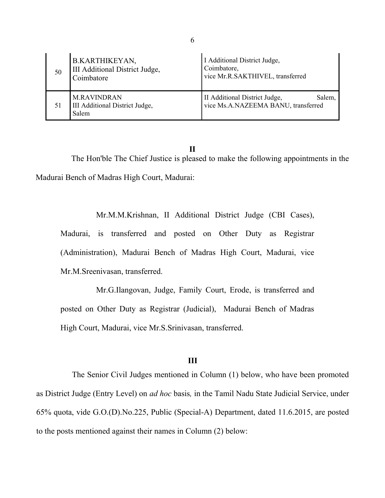| 50 | <b>B.KARTHIKEYAN,</b><br>III Additional District Judge,<br>Coimbatore | I Additional District Judge,<br>Coimbatore,<br>vice Mr.R.SAKTHIVEL, transferred |
|----|-----------------------------------------------------------------------|---------------------------------------------------------------------------------|
| 51 | <b>M.RAVINDRAN</b><br>III Additional District Judge,<br>Salem         | II Additional District Judge,<br>Salem,<br>vice Ms.A.NAZEEMA BANU, transferred  |

**II** The Hon'ble The Chief Justice is pleased to make the following appointments in the Madurai Bench of Madras High Court, Madurai:

Mr.M.M.Krishnan, II Additional District Judge (CBI Cases), Madurai, is transferred and posted on Other Duty as Registrar (Administration), Madurai Bench of Madras High Court, Madurai, vice Mr.M.Sreenivasan, transferred.

Mr.G.Ilangovan, Judge, Family Court, Erode, is transferred and posted on Other Duty as Registrar (Judicial), Madurai Bench of Madras High Court, Madurai, vice Mr.S.Srinivasan, transferred.

#### **III**

The Senior Civil Judges mentioned in Column (1) below, who have been promoted as District Judge (Entry Level) on *ad hoc* basis*,* in the Tamil Nadu State Judicial Service, under 65% quota, vide G.O.(D).No.225, Public (Special-A) Department, dated 11.6.2015, are posted to the posts mentioned against their names in Column (2) below: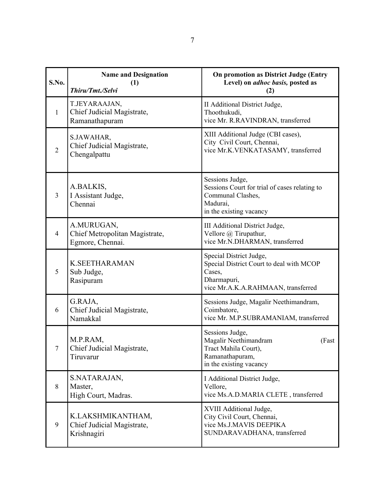| S.No.          | <b>Name and Designation</b><br>(1)<br>Thiru/Tmt./Selvi           | On promotion as District Judge (Entry<br>Level) on <i>adhoc basis</i> , posted as<br>(2)                                           |
|----------------|------------------------------------------------------------------|------------------------------------------------------------------------------------------------------------------------------------|
| 1              | T.JEYARAAJAN,<br>Chief Judicial Magistrate,<br>Ramanathapuram    | II Additional District Judge,<br>Thoothukudi,<br>vice Mr. R.RAVINDRAN, transferred                                                 |
| $\overline{2}$ | S.JAWAHAR,<br>Chief Judicial Magistrate,<br>Chengalpattu         | XIII Additional Judge (CBI cases),<br>City Civil Court, Chennai,<br>vice Mr.K.VENKATASAMY, transferred                             |
| 3              | A.BALKIS,<br>I Assistant Judge,<br>Chennai                       | Sessions Judge,<br>Sessions Court for trial of cases relating to<br>Communal Clashes,<br>Madurai,<br>in the existing vacancy       |
| $\overline{4}$ | A.MURUGAN,<br>Chief Metropolitan Magistrate,<br>Egmore, Chennai. | III Additional District Judge,<br>Vellore @ Tirupathur,<br>vice Mr.N.DHARMAN, transferred                                          |
| 5              | <b>K.SEETHARAMAN</b><br>Sub Judge,<br>Rasipuram                  | Special District Judge,<br>Special District Court to deal with MCOP<br>Cases,<br>Dharmapuri,<br>vice Mr.A.K.A.RAHMAAN, transferred |
| 6              | G.RAJA,<br>Chief Judicial Magistrate,<br>Namakkal                | Sessions Judge, Magalir Neethimandram,<br>Coimbatore,<br>vice Mr. M.P.SUBRAMANIAM, transferred                                     |
|                | M.P.RAM,<br>Chief Judicial Magistrate,<br>Tiruvarur              | Sessions Judge,<br>Magalir Neethimandram<br>(Fast<br>Tract Mahila Court),<br>Ramanathapuram,<br>in the existing vacancy            |
| 8              | S.NATARAJAN,<br>Master,<br>High Court, Madras.                   | I Additional District Judge,<br>Vellore,<br>vice Ms.A.D.MARIA CLETE, transferred                                                   |
| 9              | K.LAKSHMIKANTHAM,<br>Chief Judicial Magistrate,<br>Krishnagiri   | XVIII Additional Judge,<br>City Civil Court, Chennai,<br>vice Ms.J.MAVIS DEEPIKA<br>SUNDARAVADHANA, transferred                    |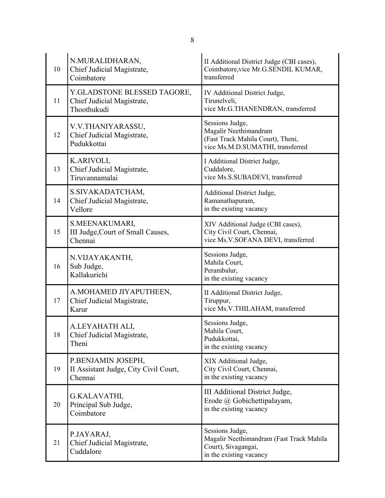| 10 | N.MURALIDHARAN,<br>Chief Judicial Magistrate,<br>Coimbatore              | II Additional District Judge (CBI cases),<br>Coimbatore, vice Mr.G.SENDIL KUMAR,<br>transferred                   |
|----|--------------------------------------------------------------------------|-------------------------------------------------------------------------------------------------------------------|
| 11 | Y.GLADSTONE BLESSED TAGORE,<br>Chief Judicial Magistrate,<br>Thoothukudi | IV Additional District Judge,<br>Tirunelveli,<br>vice Mr.G.THANENDRAN, transferred                                |
| 12 | V.V.THANIYARASSU,<br>Chief Judicial Magistrate,<br>Pudukkottai           | Sessions Judge,<br>Magalir Neethimandram<br>(Fast Track Mahila Court), Theni,<br>vice Ms.M.D.SUMATHI, transferred |
| 13 | K.ARIVOLI,<br>Chief Judicial Magistrate,<br>Tiruvannamalai               | I Additional District Judge,<br>Cuddalore,<br>vice Ms.S.SUBADEVI, transferred                                     |
| 14 | S.SIVAKADATCHAM,<br>Chief Judicial Magistrate,<br>Vellore                | Additional District Judge,<br>Ramanathapuram,<br>in the existing vacancy                                          |
| 15 | S.MEENAKUMARI,<br>III Judge, Court of Small Causes,<br>Chennai           | XIV Additional Judge (CBI cases),<br>City Civil Court, Chennai,<br>vice Ms.V.SOFANA DEVI, transferred             |
| 16 | N.VIJAYAKANTH,<br>Sub Judge,<br>Kallakurichi                             | Sessions Judge,<br>Mahila Court,<br>Perambalur,<br>in the existing vacancy                                        |
| 17 | A.MOHAMED JIYAPUTHEEN,<br>Chief Judicial Magistrate,<br>Karur            | II Additional District Judge,<br>Tiruppur,<br>vice Ms.V.THILAHAM, transferred                                     |
| 18 | A.LEYAHATH ALI,<br>Chief Judicial Magistrate,<br>Theni                   | Sessions Judge,<br>Mahila Court,<br>Pudukkottai,<br>in the existing vacancy                                       |
| 19 | P.BENJAMIN JOSEPH,<br>II Assistant Judge, City Civil Court,<br>Chennai   | XIX Additional Judge,<br>City Civil Court, Chennai,<br>in the existing vacancy                                    |
| 20 | G.KALAVATHI,<br>Principal Sub Judge,<br>Coimbatore                       | III Additional District Judge,<br>Erode @ Gobichettipalayam,<br>in the existing vacancy                           |
| 21 | P.JAYARAJ,<br>Chief Judicial Magistrate,<br>Cuddalore                    | Sessions Judge,<br>Magalir Neethimandram (Fast Track Mahila<br>Court), Sivagangai,<br>in the existing vacancy     |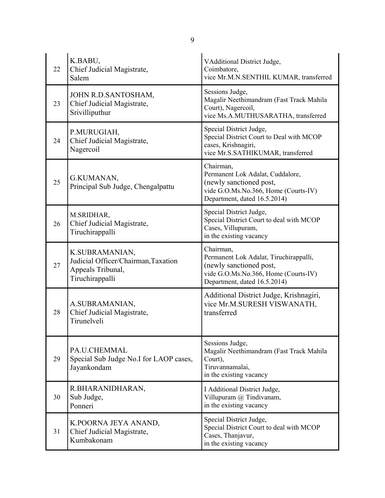| 22 | K.BABU,<br>Chief Judicial Magistrate,<br>Salem                                                | <b>VAdditional District Judge,</b><br>Coimbatore,<br>vice Mr.M.N.SENTHIL KUMAR, transferred                                                            |
|----|-----------------------------------------------------------------------------------------------|--------------------------------------------------------------------------------------------------------------------------------------------------------|
| 23 | JOHN R.D.SANTOSHAM,<br>Chief Judicial Magistrate,<br>Srivilliputhur                           | Sessions Judge,<br>Magalir Neethimandram (Fast Track Mahila<br>Court), Nagercoil,<br>vice Ms.A.MUTHUSARATHA, transferred                               |
| 24 | P.MURUGIAH,<br>Chief Judicial Magistrate,<br>Nagercoil                                        | Special District Judge,<br>Special District Court to Deal with MCOP<br>cases, Krishnagiri,<br>vice Mr.S.SATHIKUMAR, transferred                        |
| 25 | G.KUMANAN,<br>Principal Sub Judge, Chengalpattu                                               | Chairman,<br>Permanent Lok Adalat, Cuddalore,<br>(newly sanctioned post,<br>vide G.O.Ms.No.366, Home (Courts-IV)<br>Department, dated 16.5.2014)       |
| 26 | M.SRIDHAR,<br>Chief Judicial Magistrate,<br>Tiruchirappalli                                   | Special District Judge,<br>Special District Court to deal with MCOP<br>Cases, Villupuram,<br>in the existing vacancy                                   |
| 27 | K.SUBRAMANIAN,<br>Judicial Officer/Chairman, Taxation<br>Appeals Tribunal,<br>Tiruchirappalli | Chairman,<br>Permanent Lok Adalat, Tiruchirappalli,<br>(newly sanctioned post,<br>vide G.O.Ms.No.366, Home (Courts-IV)<br>Department, dated 16.5.2014) |
| 28 | A.SUBRAMANIAN,<br>Chief Judicial Magistrate,<br>Tirunelveli                                   | Additional District Judge, Krishnagiri,<br>vice Mr.M.SURESH VISWANATH,<br>transferred                                                                  |
| 29 | PA.U.CHEMMAL<br>Special Sub Judge No.I for LAOP cases,<br>Jayankondam                         | Sessions Judge,<br>Magalir Neethimandram (Fast Track Mahila<br>Court),<br>Tiruvannamalai,<br>in the existing vacancy                                   |
| 30 | R.BHARANIDHARAN,<br>Sub Judge,<br>Ponneri                                                     | I Additional District Judge,<br>Villupuram @ Tindivanam,<br>in the existing vacancy                                                                    |
| 31 | K.POORNA JEYA ANAND,<br>Chief Judicial Magistrate,<br>Kumbakonam                              | Special District Judge,<br>Special District Court to deal with MCOP<br>Cases, Thanjavur,<br>in the existing vacancy                                    |